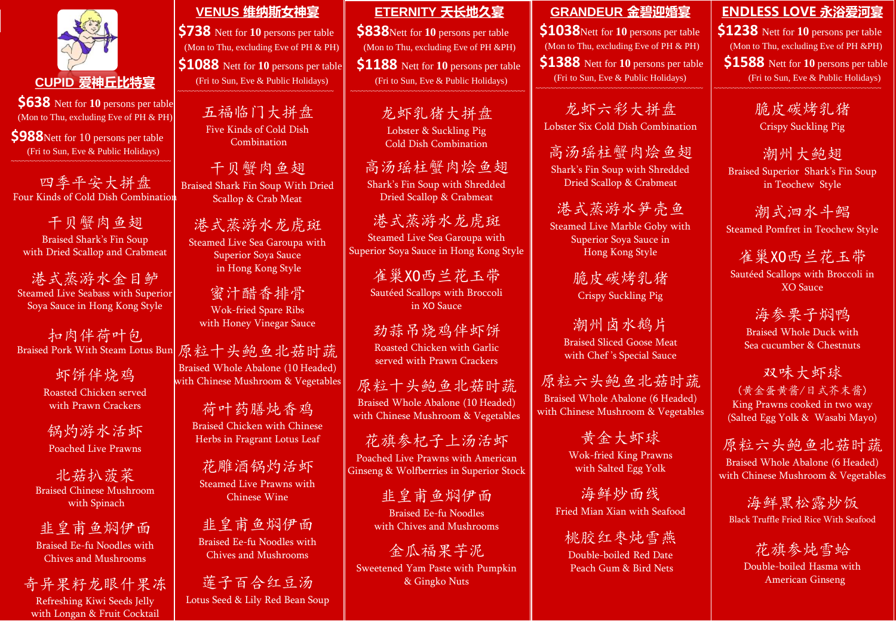

## **CUPID 爱神丘比特宴**

**\$638** Nett for **10** persons per table (Mon to Thu, excluding Eve of PH & PH)

**\$988** Nett for 10 persons per table (Fri to Sun, Eve & Public Holidays)

四季平安大拼盘 Four Kinds of Cold Dish Combination

干贝蟹肉鱼翅 Braised Shark's Fin Soup with Dried Scallop and Crabmeat

港式蒸游水金目鲈 Steamed Live Seabass with Superior Soya Sauce in Hong Kong Style

扣肉伴荷叶包 Braised Pork With Steam Lotus Bun

> 虾饼伴烧鸡 Roasted Chicken served with Prawn Crackers

锅灼游水活虾 Poached Live Prawns

北菇扒菠菜 Braised Chinese Mushroom with Spinach

韭皇甫鱼焖伊面 Braised Ee-fu Noodles with Chives and Mushrooms

奇异果籽龙眼什果冻 Refreshing Kiwi Seeds Jelly

with Longan & Fruit Cocktail

**VENUS 维纳斯女神宴**

**\$738** Nett for 10 persons per table (Mon to Thu, excluding Eve of PH & PH) **\$1088** Nett for 10 persons per table

(Fri to Sun, Eve & Public Holidays)

五福临门大拼盘 Five Kinds of Cold Dish

Combination

干贝蟹肉鱼翅 Braised Shark Fin Soup With Dried Scallop & Crab Meat

港式蒸游水龙虎斑 Steamed Live Sea Garoupa with Superior Soya Sauce in Hong Kong Style

蜜汁醋香排骨 Wok-fried Spare Ribs with Honey Vinegar Sauce

原粒十头鲍鱼北菇时蔬 Braised Whole Abalone (10 Headed) with Chinese Mushroom & Vegetables

> 荷叶药膳炖香鸡 Braised Chicken with Chinese Herbs in Fragrant Lotus Leaf

花雕酒锅灼活虾 Steamed Live Prawns with Chinese Wine

韭皇甫鱼焖伊面 Braised Ee-fu Noodles with Chives and Mushrooms

莲子百合红豆汤 Lotus Seed & Lily Red Bean Soup

## **ETERNITY 天长地久宴**

**\$838**Nett for **10** persons per table (Mon to Thu, excluding Eve of PH &PH)

**\$1188** Nett for **10** persons per table (Fri to Sun, Eve & Public Holidays)

> 龙虾乳猪大拼盘 Lobster & Suckling Pig Cold Dish Combination

高汤瑶柱蟹肉烩鱼翅 Shark's Fin Soup with Shredded Dried Scallop & Crabmeat

港式蒸游水龙虎斑 Steamed Live Sea Garoupa with Superior Soya Sauce in Hong Kong Style

> 雀巢XO西兰花玉带 Sautéed Scallops with Broccoli in XO Sauce

劲蒜吊烧鸡伴虾饼 Roasted Chicken with Garlic served with Prawn Crackers

原粒十头鲍鱼北菇时蔬 Braised Whole Abalone (10 Headed) with Chinese Mushroom & Vegetables

花旗参杞子上汤活虾 Poached Live Prawns with American Ginseng & Wolfberries in Superior Stock

> 韭皇甫鱼焖伊面 Braised Ee-fu Noodles with Chives and Mushrooms

金瓜福果芋泥 Sweetened Yam Paste with Pumpkin & Gingko Nuts

**GRANDEUR 金碧迎婚宴**

**\$1038**Nett for **10** persons per table (Mon to Thu, excluding Eve of PH & PH) **\$1388** Nett for **10** persons per table (Fri to Sun, Eve & Public Holidays)

龙虾六彩大拼盘 Lobster Six Cold Dish Combination

高汤瑶柱蟹肉烩鱼翅 Shark's Fin Soup with Shredded Dried Scallop & Crabmeat

港式蒸游水笋壳鱼 Steamed Live Marble Goby with Superior Soya Sauce in Hong Kong Style

> 脆皮碳烤乳猪 Crispy Suckling Pig

潮州卤水鹅片 Braised Sliced Goose Meat with Chef 's Special Sauce

原粒六头鲍鱼北菇时蔬 Braised Whole Abalone (6 Headed) with Chinese Mushroom & Vegetables

> 黄金大虾球 Wok-fried King Prawns with Salted Egg Yolk

海鲜炒面线 Fried Mian Xian with Seafood

桃胶红枣炖雪燕 Double-boiled Red Date Peach Gum & Bird Nets

**ENDLESS LOVE 永浴爱河宴**

**\$1238** Nett for **10** persons per table (Mon to Thu, excluding Eve of PH &PH)

**\$1588** Nett for 10 persons per table (Fri to Sun, Eve & Public Holidays)

> 脆皮碳烤乳猪 Crispy Suckling Pig

潮州大鲍翅 Braised Superior Shark's Fin Soup in Teochew Style

潮式泗水斗鲳 Steamed Pomfret in Teochew Style

雀巢XO西兰花玉带 Sautéed Scallops with Broccoli in XO Sauce

> 海参栗子焖鸭 Braised Whole Duck with Sea cucumber & Chestnuts

双味大虾球 (黄金蛋黄酱/日式芥末酱) King Prawns cooked in two way (Salted Egg Yolk & Wasabi Mayo)

原粒六头鲍鱼北菇时蔬 Braised Whole Abalone (6 Headed) with Chinese Mushroom & Vegetables

海鲜黑松露炒饭 Black Truffle Fried Rice With Seafood

花旗参炖雪蛤 Double-boiled Hasma with American Ginseng